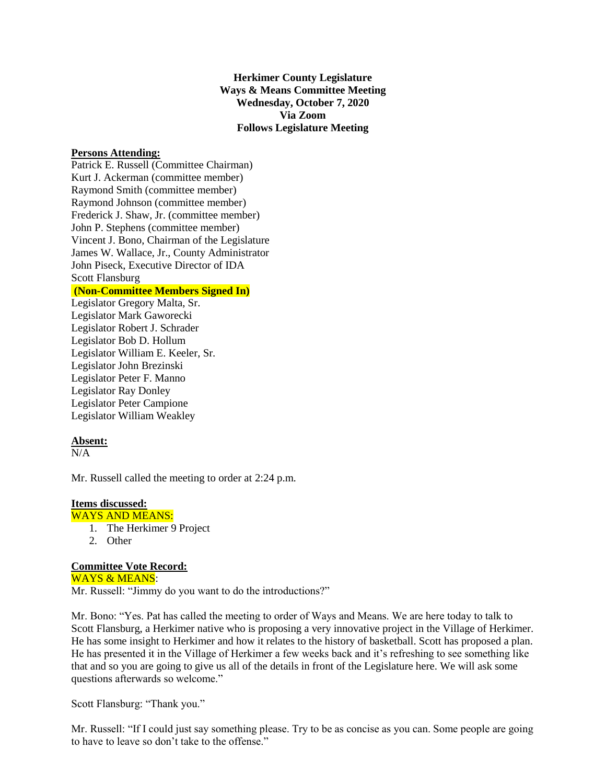**Herkimer County Legislature Ways & Means Committee Meeting Wednesday, October 7, 2020 Via Zoom Follows Legislature Meeting**

### **Persons Attending:**

Patrick E. Russell (Committee Chairman) Kurt J. Ackerman (committee member) Raymond Smith (committee member) Raymond Johnson (committee member) Frederick J. Shaw, Jr. (committee member) John P. Stephens (committee member) Vincent J. Bono, Chairman of the Legislature James W. Wallace, Jr., County Administrator John Piseck, Executive Director of IDA Scott Flansburg

# **(Non-Committee Members Signed In)**

Legislator Gregory Malta, Sr. Legislator Mark Gaworecki Legislator Robert J. Schrader Legislator Bob D. Hollum Legislator William E. Keeler, Sr. Legislator John Brezinski Legislator Peter F. Manno Legislator Ray Donley Legislator Peter Campione Legislator William Weakley

# **Absent:**

 $N/A$ 

Mr. Russell called the meeting to order at 2:24 p.m.

### **Items discussed:**

### WAYS AND MEANS:

- 1. The Herkimer 9 Project
- 2. Other

# **Committee Vote Record:**

WAYS & MEANS: Mr. Russell: "Jimmy do you want to do the introductions?"

Mr. Bono: "Yes. Pat has called the meeting to order of Ways and Means. We are here today to talk to Scott Flansburg, a Herkimer native who is proposing a very innovative project in the Village of Herkimer. He has some insight to Herkimer and how it relates to the history of basketball. Scott has proposed a plan. He has presented it in the Village of Herkimer a few weeks back and it's refreshing to see something like that and so you are going to give us all of the details in front of the Legislature here. We will ask some questions afterwards so welcome."

Scott Flansburg: "Thank you."

Mr. Russell: "If I could just say something please. Try to be as concise as you can. Some people are going to have to leave so don't take to the offense."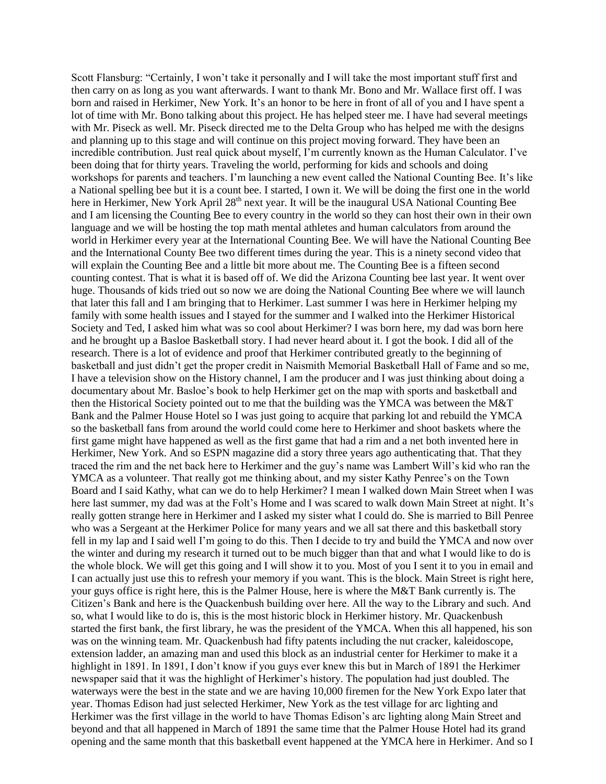Scott Flansburg: "Certainly, I won't take it personally and I will take the most important stuff first and then carry on as long as you want afterwards. I want to thank Mr. Bono and Mr. Wallace first off. I was born and raised in Herkimer, New York. It's an honor to be here in front of all of you and I have spent a lot of time with Mr. Bono talking about this project. He has helped steer me. I have had several meetings with Mr. Piseck as well. Mr. Piseck directed me to the Delta Group who has helped me with the designs and planning up to this stage and will continue on this project moving forward. They have been an incredible contribution. Just real quick about myself, I'm currently known as the Human Calculator. I've been doing that for thirty years. Traveling the world, performing for kids and schools and doing workshops for parents and teachers. I'm launching a new event called the National Counting Bee. It's like a National spelling bee but it is a count bee. I started, I own it. We will be doing the first one in the world here in Herkimer, New York April 28<sup>th</sup> next year. It will be the inaugural USA National Counting Bee and I am licensing the Counting Bee to every country in the world so they can host their own in their own language and we will be hosting the top math mental athletes and human calculators from around the world in Herkimer every year at the International Counting Bee. We will have the National Counting Bee and the International County Bee two different times during the year. This is a ninety second video that will explain the Counting Bee and a little bit more about me. The Counting Bee is a fifteen second counting contest. That is what it is based off of. We did the Arizona Counting bee last year. It went over huge. Thousands of kids tried out so now we are doing the National Counting Bee where we will launch that later this fall and I am bringing that to Herkimer. Last summer I was here in Herkimer helping my family with some health issues and I stayed for the summer and I walked into the Herkimer Historical Society and Ted, I asked him what was so cool about Herkimer? I was born here, my dad was born here and he brought up a Basloe Basketball story. I had never heard about it. I got the book. I did all of the research. There is a lot of evidence and proof that Herkimer contributed greatly to the beginning of basketball and just didn't get the proper credit in Naismith Memorial Basketball Hall of Fame and so me, I have a television show on the History channel, I am the producer and I was just thinking about doing a documentary about Mr. Basloe's book to help Herkimer get on the map with sports and basketball and then the Historical Society pointed out to me that the building was the YMCA was between the M&T Bank and the Palmer House Hotel so I was just going to acquire that parking lot and rebuild the YMCA so the basketball fans from around the world could come here to Herkimer and shoot baskets where the first game might have happened as well as the first game that had a rim and a net both invented here in Herkimer, New York. And so ESPN magazine did a story three years ago authenticating that. That they traced the rim and the net back here to Herkimer and the guy's name was Lambert Will's kid who ran the YMCA as a volunteer. That really got me thinking about, and my sister Kathy Penree's on the Town Board and I said Kathy, what can we do to help Herkimer? I mean I walked down Main Street when I was here last summer, my dad was at the Folt's Home and I was scared to walk down Main Street at night. It's really gotten strange here in Herkimer and I asked my sister what I could do. She is married to Bill Penree who was a Sergeant at the Herkimer Police for many years and we all sat there and this basketball story fell in my lap and I said well I'm going to do this. Then I decide to try and build the YMCA and now over the winter and during my research it turned out to be much bigger than that and what I would like to do is the whole block. We will get this going and I will show it to you. Most of you I sent it to you in email and I can actually just use this to refresh your memory if you want. This is the block. Main Street is right here, your guys office is right here, this is the Palmer House, here is where the M&T Bank currently is. The Citizen's Bank and here is the Quackenbush building over here. All the way to the Library and such. And so, what I would like to do is, this is the most historic block in Herkimer history. Mr. Quackenbush started the first bank, the first library, he was the president of the YMCA. When this all happened, his son was on the winning team. Mr. Quackenbush had fifty patents including the nut cracker, kaleidoscope, extension ladder, an amazing man and used this block as an industrial center for Herkimer to make it a highlight in 1891. In 1891, I don't know if you guys ever knew this but in March of 1891 the Herkimer newspaper said that it was the highlight of Herkimer's history. The population had just doubled. The waterways were the best in the state and we are having 10,000 firemen for the New York Expo later that year. Thomas Edison had just selected Herkimer, New York as the test village for arc lighting and Herkimer was the first village in the world to have Thomas Edison's arc lighting along Main Street and beyond and that all happened in March of 1891 the same time that the Palmer House Hotel had its grand opening and the same month that this basketball event happened at the YMCA here in Herkimer. And so I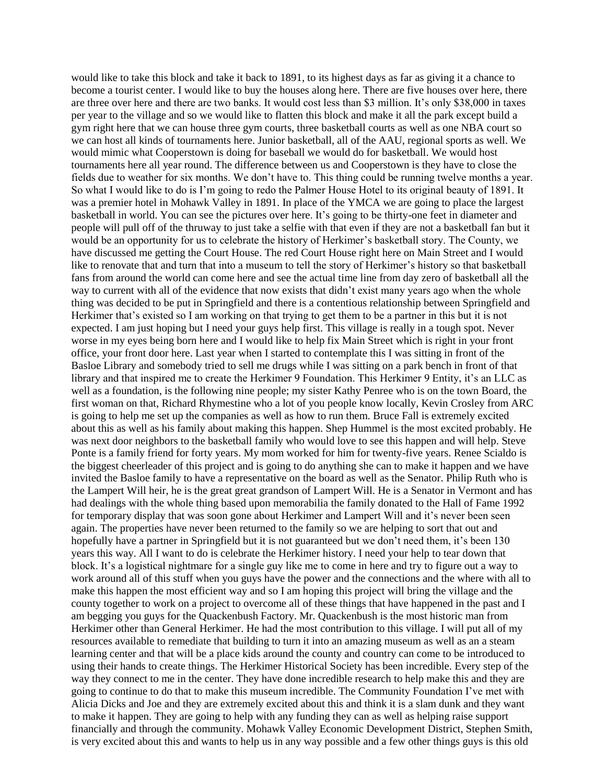would like to take this block and take it back to 1891, to its highest days as far as giving it a chance to become a tourist center. I would like to buy the houses along here. There are five houses over here, there are three over here and there are two banks. It would cost less than \$3 million. It's only \$38,000 in taxes per year to the village and so we would like to flatten this block and make it all the park except build a gym right here that we can house three gym courts, three basketball courts as well as one NBA court so we can host all kinds of tournaments here. Junior basketball, all of the AAU, regional sports as well. We would mimic what Cooperstown is doing for baseball we would do for basketball. We would host tournaments here all year round. The difference between us and Cooperstown is they have to close the fields due to weather for six months. We don't have to. This thing could be running twelve months a year. So what I would like to do is I'm going to redo the Palmer House Hotel to its original beauty of 1891. It was a premier hotel in Mohawk Valley in 1891. In place of the YMCA we are going to place the largest basketball in world. You can see the pictures over here. It's going to be thirty-one feet in diameter and people will pull off of the thruway to just take a selfie with that even if they are not a basketball fan but it would be an opportunity for us to celebrate the history of Herkimer's basketball story. The County, we have discussed me getting the Court House. The red Court House right here on Main Street and I would like to renovate that and turn that into a museum to tell the story of Herkimer's history so that basketball fans from around the world can come here and see the actual time line from day zero of basketball all the way to current with all of the evidence that now exists that didn't exist many years ago when the whole thing was decided to be put in Springfield and there is a contentious relationship between Springfield and Herkimer that's existed so I am working on that trying to get them to be a partner in this but it is not expected. I am just hoping but I need your guys help first. This village is really in a tough spot. Never worse in my eyes being born here and I would like to help fix Main Street which is right in your front office, your front door here. Last year when I started to contemplate this I was sitting in front of the Basloe Library and somebody tried to sell me drugs while I was sitting on a park bench in front of that library and that inspired me to create the Herkimer 9 Foundation. This Herkimer 9 Entity, it's an LLC as well as a foundation, is the following nine people; my sister Kathy Penree who is on the town Board, the first woman on that, Richard Rhymestine who a lot of you people know locally, Kevin Crosley from ARC is going to help me set up the companies as well as how to run them. Bruce Fall is extremely excited about this as well as his family about making this happen. Shep Hummel is the most excited probably. He was next door neighbors to the basketball family who would love to see this happen and will help. Steve Ponte is a family friend for forty years. My mom worked for him for twenty-five years. Renee Scialdo is the biggest cheerleader of this project and is going to do anything she can to make it happen and we have invited the Basloe family to have a representative on the board as well as the Senator. Philip Ruth who is the Lampert Will heir, he is the great great grandson of Lampert Will. He is a Senator in Vermont and has had dealings with the whole thing based upon memorabilia the family donated to the Hall of Fame 1992 for temporary display that was soon gone about Herkimer and Lampert Will and it's never been seen again. The properties have never been returned to the family so we are helping to sort that out and hopefully have a partner in Springfield but it is not guaranteed but we don't need them, it's been 130 years this way. All I want to do is celebrate the Herkimer history. I need your help to tear down that block. It's a logistical nightmare for a single guy like me to come in here and try to figure out a way to work around all of this stuff when you guys have the power and the connections and the where with all to make this happen the most efficient way and so I am hoping this project will bring the village and the county together to work on a project to overcome all of these things that have happened in the past and I am begging you guys for the Quackenbush Factory. Mr. Quackenbush is the most historic man from Herkimer other than General Herkimer. He had the most contribution to this village. I will put all of my resources available to remediate that building to turn it into an amazing museum as well as an a steam learning center and that will be a place kids around the county and country can come to be introduced to using their hands to create things. The Herkimer Historical Society has been incredible. Every step of the way they connect to me in the center. They have done incredible research to help make this and they are going to continue to do that to make this museum incredible. The Community Foundation I've met with Alicia Dicks and Joe and they are extremely excited about this and think it is a slam dunk and they want to make it happen. They are going to help with any funding they can as well as helping raise support financially and through the community. Mohawk Valley Economic Development District, Stephen Smith, is very excited about this and wants to help us in any way possible and a few other things guys is this old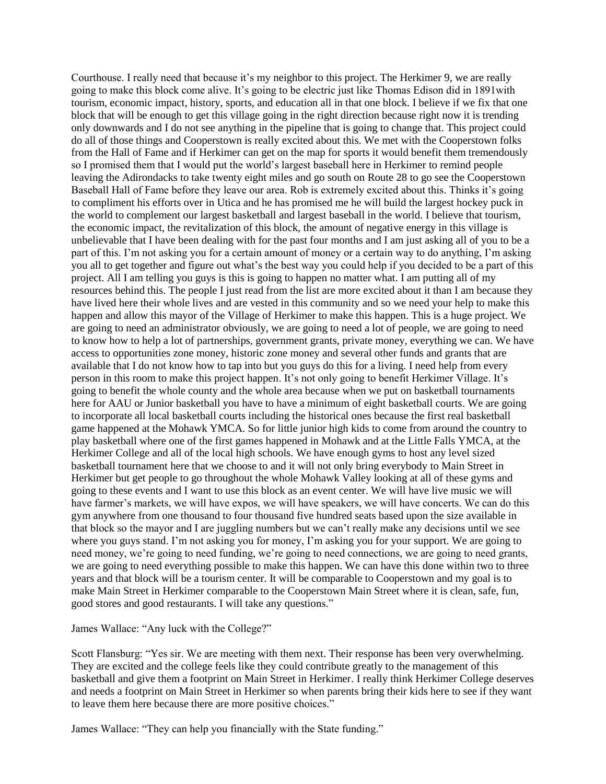Courthouse. I really need that because it's my neighbor to this project. The Herkimer 9, we are really going to make this block come alive. It's going to be electric just like Thomas Edison did in 1891with tourism, economic impact, history, sports, and education all in that one block. I believe if we fix that one block that will be enough to get this village going in the right direction because right now it is trending only downwards and I do not see anything in the pipeline that is going to change that. This project could do all of those things and Cooperstown is really excited about this. We met with the Cooperstown folks from the Hall of Fame and if Herkimer can get on the map for sports it would benefit them tremendously so I promised them that I would put the world's largest baseball here in Herkimer to remind people leaving the Adirondacks to take twenty eight miles and go south on Route 28 to go see the Cooperstown Baseball Hall of Fame before they leave our area. Rob is extremely excited about this. Thinks it's going to compliment his efforts over in Utica and he has promised me he will build the largest hockey puck in the world to complement our largest basketball and largest baseball in the world. I believe that tourism, the economic impact, the revitalization of this block, the amount of negative energy in this village is unbelievable that I have been dealing with for the past four months and I am just asking all of you to be a part of this. I'm not asking you for a certain amount of money or a certain way to do anything, I'm asking you all to get together and figure out what's the best way you could help if you decided to be a part of this project. All I am telling you guys is this is going to happen no matter what. I am putting all of my resources behind this. The people I just read from the list are more excited about it than I am because they have lived here their whole lives and are vested in this community and so we need your help to make this happen and allow this mayor of the Village of Herkimer to make this happen. This is a huge project. We are going to need an administrator obviously, we are going to need a lot of people, we are going to need to know how to help a lot of partnerships, government grants, private money, everything we can. We have access to opportunities zone money, historic zone money and several other funds and grants that are available that I do not know how to tap into but you guys do this for a living. I need help from every person in this room to make this project happen. It's not only going to benefit Herkimer Village. It's going to benefit the whole county and the whole area because when we put on basketball tournaments here for AAU or Junior basketball you have to have a minimum of eight basketball courts. We are going to incorporate all local basketball courts including the historical ones because the first real basketball game happened at the Mohawk YMCA. So for little junior high kids to come from around the country to play basketball where one of the first games happened in Mohawk and at the Little Falls YMCA, at the Herkimer College and all of the local high schools. We have enough gyms to host any level sized basketball tournament here that we choose to and it will not only bring everybody to Main Street in Herkimer but get people to go throughout the whole Mohawk Valley looking at all of these gyms and going to these events and I want to use this block as an event center. We will have live music we will have farmer's markets, we will have expos, we will have speakers, we will have concerts. We can do this gym anywhere from one thousand to four thousand five hundred seats based upon the size available in that block so the mayor and I are juggling numbers but we can't really make any decisions until we see where you guys stand. I'm not asking you for money, I'm asking you for your support. We are going to need money, we're going to need funding, we're going to need connections, we are going to need grants, we are going to need everything possible to make this happen. We can have this done within two to three years and that block will be a tourism center. It will be comparable to Cooperstown and my goal is to make Main Street in Herkimer comparable to the Cooperstown Main Street where it is clean, safe, fun, good stores and good restaurants. I will take any questions."

James Wallace: "Any luck with the College?"

Scott Flansburg: "Yes sir. We are meeting with them next. Their response has been very overwhelming. They are excited and the college feels like they could contribute greatly to the management of this basketball and give them a footprint on Main Street in Herkimer. I really think Herkimer College deserves and needs a footprint on Main Street in Herkimer so when parents bring their kids here to see if they want to leave them here because there are more positive choices."

James Wallace: "They can help you financially with the State funding."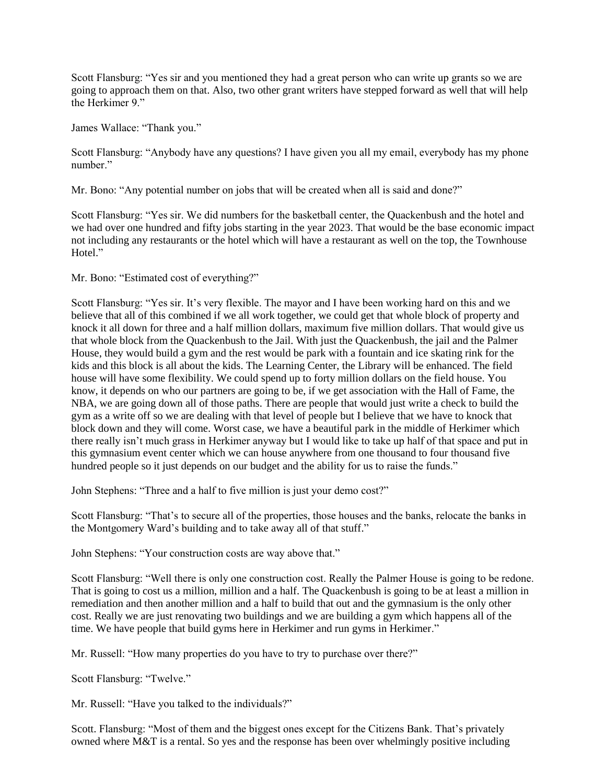Scott Flansburg: "Yes sir and you mentioned they had a great person who can write up grants so we are going to approach them on that. Also, two other grant writers have stepped forward as well that will help the Herkimer 9."

James Wallace: "Thank you."

Scott Flansburg: "Anybody have any questions? I have given you all my email, everybody has my phone number."

Mr. Bono: "Any potential number on jobs that will be created when all is said and done?"

Scott Flansburg: "Yes sir. We did numbers for the basketball center, the Quackenbush and the hotel and we had over one hundred and fifty jobs starting in the year 2023. That would be the base economic impact not including any restaurants or the hotel which will have a restaurant as well on the top, the Townhouse Hotel."

# Mr. Bono: "Estimated cost of everything?"

Scott Flansburg: "Yes sir. It's very flexible. The mayor and I have been working hard on this and we believe that all of this combined if we all work together, we could get that whole block of property and knock it all down for three and a half million dollars, maximum five million dollars. That would give us that whole block from the Quackenbush to the Jail. With just the Quackenbush, the jail and the Palmer House, they would build a gym and the rest would be park with a fountain and ice skating rink for the kids and this block is all about the kids. The Learning Center, the Library will be enhanced. The field house will have some flexibility. We could spend up to forty million dollars on the field house. You know, it depends on who our partners are going to be, if we get association with the Hall of Fame, the NBA, we are going down all of those paths. There are people that would just write a check to build the gym as a write off so we are dealing with that level of people but I believe that we have to knock that block down and they will come. Worst case, we have a beautiful park in the middle of Herkimer which there really isn't much grass in Herkimer anyway but I would like to take up half of that space and put in this gymnasium event center which we can house anywhere from one thousand to four thousand five hundred people so it just depends on our budget and the ability for us to raise the funds."

John Stephens: "Three and a half to five million is just your demo cost?"

Scott Flansburg: "That's to secure all of the properties, those houses and the banks, relocate the banks in the Montgomery Ward's building and to take away all of that stuff."

John Stephens: "Your construction costs are way above that."

Scott Flansburg: "Well there is only one construction cost. Really the Palmer House is going to be redone. That is going to cost us a million, million and a half. The Quackenbush is going to be at least a million in remediation and then another million and a half to build that out and the gymnasium is the only other cost. Really we are just renovating two buildings and we are building a gym which happens all of the time. We have people that build gyms here in Herkimer and run gyms in Herkimer."

Mr. Russell: "How many properties do you have to try to purchase over there?"

Scott Flansburg: "Twelve."

Mr. Russell: "Have you talked to the individuals?"

Scott. Flansburg: "Most of them and the biggest ones except for the Citizens Bank. That's privately owned where M&T is a rental. So yes and the response has been over whelmingly positive including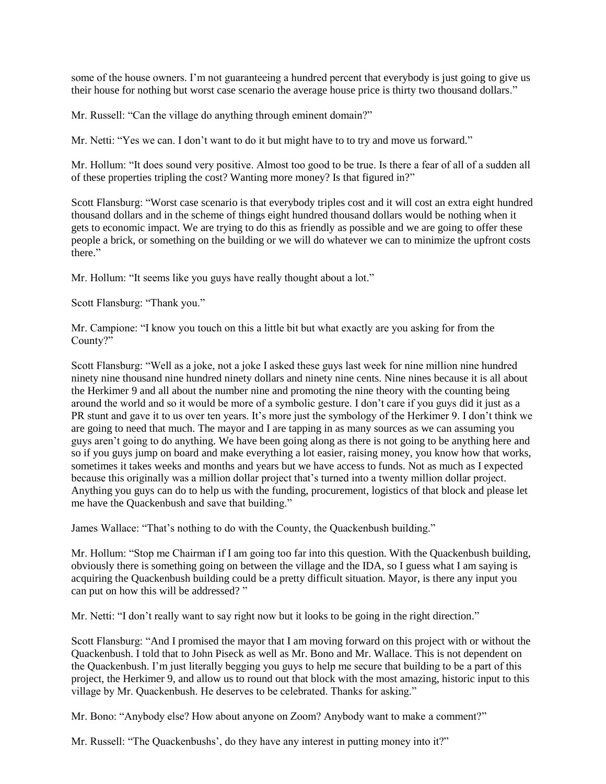some of the house owners. I'm not guaranteeing a hundred percent that everybody is just going to give us their house for nothing but worst case scenario the average house price is thirty two thousand dollars."

Mr. Russell: "Can the village do anything through eminent domain?"

Mr. Netti: "Yes we can. I don't want to do it but might have to to try and move us forward."

Mr. Hollum: "It does sound very positive. Almost too good to be true. Is there a fear of all of a sudden all of these properties tripling the cost? Wanting more money? Is that figured in?"

Scott Flansburg: "Worst case scenario is that everybody triples cost and it will cost an extra eight hundred thousand dollars and in the scheme of things eight hundred thousand dollars would be nothing when it gets to economic impact. We are trying to do this as friendly as possible and we are going to offer these people a brick, or something on the building or we will do whatever we can to minimize the upfront costs there."

Mr. Hollum: "It seems like you guys have really thought about a lot."

Scott Flansburg: "Thank you."

Mr. Campione: "I know you touch on this a little bit but what exactly are you asking for from the County?"

Scott Flansburg: "Well as a joke, not a joke I asked these guys last week for nine million nine hundred ninety nine thousand nine hundred ninety dollars and ninety nine cents. Nine nines because it is all about the Herkimer 9 and all about the number nine and promoting the nine theory with the counting being around the world and so it would be more of a symbolic gesture. I don't care if you guys did it just as a PR stunt and gave it to us over ten years. It's more just the symbology of the Herkimer 9. I don't think we are going to need that much. The mayor and I are tapping in as many sources as we can assuming you guys aren't going to do anything. We have been going along as there is not going to be anything here and so if you guys jump on board and make everything a lot easier, raising money, you know how that works, sometimes it takes weeks and months and years but we have access to funds. Not as much as I expected because this originally was a million dollar project that's turned into a twenty million dollar project. Anything you guys can do to help us with the funding, procurement, logistics of that block and please let me have the Quackenbush and save that building."

James Wallace: "That's nothing to do with the County, the Quackenbush building."

Mr. Hollum: "Stop me Chairman if I am going too far into this question. With the Quackenbush building, obviously there is something going on between the village and the IDA, so I guess what I am saying is acquiring the Quackenbush building could be a pretty difficult situation. Mayor, is there any input you can put on how this will be addressed? "

Mr. Netti: "I don't really want to say right now but it looks to be going in the right direction."

Scott Flansburg: "And I promised the mayor that I am moving forward on this project with or without the Quackenbush. I told that to John Piseck as well as Mr. Bono and Mr. Wallace. This is not dependent on the Quackenbush. I'm just literally begging you guys to help me secure that building to be a part of this project, the Herkimer 9, and allow us to round out that block with the most amazing, historic input to this village by Mr. Quackenbush. He deserves to be celebrated. Thanks for asking."

Mr. Bono: "Anybody else? How about anyone on Zoom? Anybody want to make a comment?"

Mr. Russell: "The Quackenbushs', do they have any interest in putting money into it?"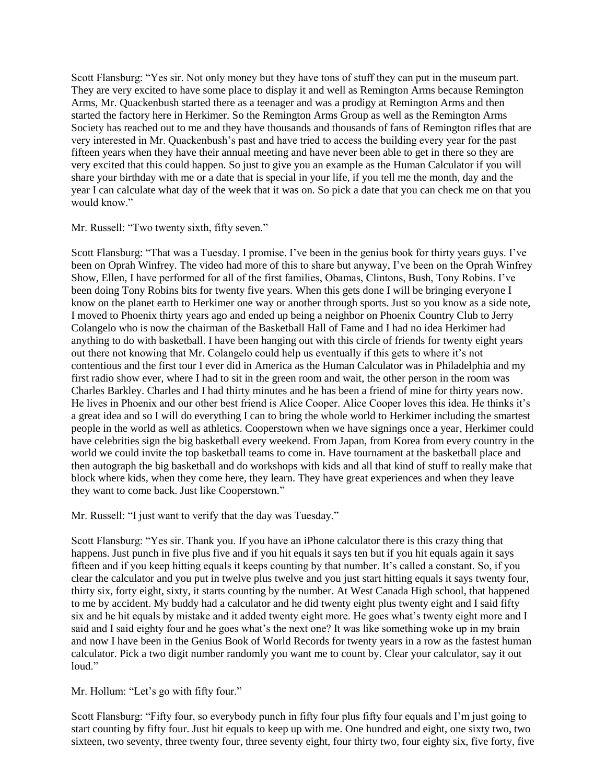Scott Flansburg: "Yes sir. Not only money but they have tons of stuff they can put in the museum part. They are very excited to have some place to display it and well as Remington Arms because Remington Arms, Mr. Quackenbush started there as a teenager and was a prodigy at Remington Arms and then started the factory here in Herkimer. So the Remington Arms Group as well as the Remington Arms Society has reached out to me and they have thousands and thousands of fans of Remington rifles that are very interested in Mr. Quackenbush's past and have tried to access the building every year for the past fifteen years when they have their annual meeting and have never been able to get in there so they are very excited that this could happen. So just to give you an example as the Human Calculator if you will share your birthday with me or a date that is special in your life, if you tell me the month, day and the year I can calculate what day of the week that it was on. So pick a date that you can check me on that you would know."

### Mr. Russell: "Two twenty sixth, fifty seven."

Scott Flansburg: "That was a Tuesday. I promise. I've been in the genius book for thirty years guys. I've been on Oprah Winfrey. The video had more of this to share but anyway, I've been on the Oprah Winfrey Show, Ellen, I have performed for all of the first families, Obamas, Clintons, Bush, Tony Robins. I've been doing Tony Robins bits for twenty five years. When this gets done I will be bringing everyone I know on the planet earth to Herkimer one way or another through sports. Just so you know as a side note, I moved to Phoenix thirty years ago and ended up being a neighbor on Phoenix Country Club to Jerry Colangelo who is now the chairman of the Basketball Hall of Fame and I had no idea Herkimer had anything to do with basketball. I have been hanging out with this circle of friends for twenty eight years out there not knowing that Mr. Colangelo could help us eventually if this gets to where it's not contentious and the first tour I ever did in America as the Human Calculator was in Philadelphia and my first radio show ever, where I had to sit in the green room and wait, the other person in the room was Charles Barkley. Charles and I had thirty minutes and he has been a friend of mine for thirty years now. He lives in Phoenix and our other best friend is Alice Cooper. Alice Cooper loves this idea. He thinks it's a great idea and so I will do everything I can to bring the whole world to Herkimer including the smartest people in the world as well as athletics. Cooperstown when we have signings once a year, Herkimer could have celebrities sign the big basketball every weekend. From Japan, from Korea from every country in the world we could invite the top basketball teams to come in. Have tournament at the basketball place and then autograph the big basketball and do workshops with kids and all that kind of stuff to really make that block where kids, when they come here, they learn. They have great experiences and when they leave they want to come back. Just like Cooperstown."

Mr. Russell: "I just want to verify that the day was Tuesday."

Scott Flansburg: "Yes sir. Thank you. If you have an iPhone calculator there is this crazy thing that happens. Just punch in five plus five and if you hit equals it says ten but if you hit equals again it says fifteen and if you keep hitting equals it keeps counting by that number. It's called a constant. So, if you clear the calculator and you put in twelve plus twelve and you just start hitting equals it says twenty four, thirty six, forty eight, sixty, it starts counting by the number. At West Canada High school, that happened to me by accident. My buddy had a calculator and he did twenty eight plus twenty eight and I said fifty six and he hit equals by mistake and it added twenty eight more. He goes what's twenty eight more and I said and I said eighty four and he goes what's the next one? It was like something woke up in my brain and now I have been in the Genius Book of World Records for twenty years in a row as the fastest human calculator. Pick a two digit number randomly you want me to count by. Clear your calculator, say it out loud."

# Mr. Hollum: "Let's go with fifty four."

Scott Flansburg: "Fifty four, so everybody punch in fifty four plus fifty four equals and I'm just going to start counting by fifty four. Just hit equals to keep up with me. One hundred and eight, one sixty two, two sixteen, two seventy, three twenty four, three seventy eight, four thirty two, four eighty six, five forty, five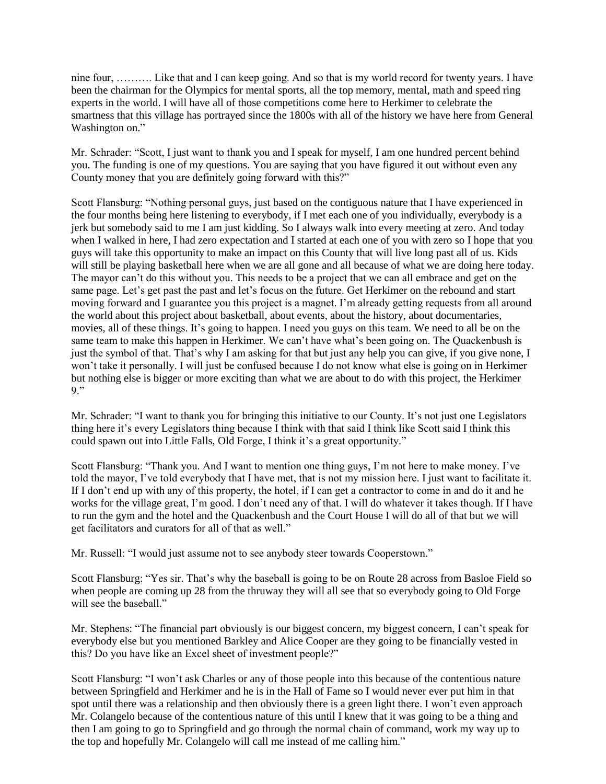nine four, ………. Like that and I can keep going. And so that is my world record for twenty years. I have been the chairman for the Olympics for mental sports, all the top memory, mental, math and speed ring experts in the world. I will have all of those competitions come here to Herkimer to celebrate the smartness that this village has portrayed since the 1800s with all of the history we have here from General Washington on."

Mr. Schrader: "Scott, I just want to thank you and I speak for myself, I am one hundred percent behind you. The funding is one of my questions. You are saying that you have figured it out without even any County money that you are definitely going forward with this?"

Scott Flansburg: "Nothing personal guys, just based on the contiguous nature that I have experienced in the four months being here listening to everybody, if I met each one of you individually, everybody is a jerk but somebody said to me I am just kidding. So I always walk into every meeting at zero. And today when I walked in here, I had zero expectation and I started at each one of you with zero so I hope that you guys will take this opportunity to make an impact on this County that will live long past all of us. Kids will still be playing basketball here when we are all gone and all because of what we are doing here today. The mayor can't do this without you. This needs to be a project that we can all embrace and get on the same page. Let's get past the past and let's focus on the future. Get Herkimer on the rebound and start moving forward and I guarantee you this project is a magnet. I'm already getting requests from all around the world about this project about basketball, about events, about the history, about documentaries, movies, all of these things. It's going to happen. I need you guys on this team. We need to all be on the same team to make this happen in Herkimer. We can't have what's been going on. The Quackenbush is just the symbol of that. That's why I am asking for that but just any help you can give, if you give none, I won't take it personally. I will just be confused because I do not know what else is going on in Herkimer but nothing else is bigger or more exciting than what we are about to do with this project, the Herkimer 9."

Mr. Schrader: "I want to thank you for bringing this initiative to our County. It's not just one Legislators thing here it's every Legislators thing because I think with that said I think like Scott said I think this could spawn out into Little Falls, Old Forge, I think it's a great opportunity."

Scott Flansburg: "Thank you. And I want to mention one thing guys, I'm not here to make money. I've told the mayor, I've told everybody that I have met, that is not my mission here. I just want to facilitate it. If I don't end up with any of this property, the hotel, if I can get a contractor to come in and do it and he works for the village great, I'm good. I don't need any of that. I will do whatever it takes though. If I have to run the gym and the hotel and the Quackenbush and the Court House I will do all of that but we will get facilitators and curators for all of that as well."

Mr. Russell: "I would just assume not to see anybody steer towards Cooperstown."

Scott Flansburg: "Yes sir. That's why the baseball is going to be on Route 28 across from Basloe Field so when people are coming up 28 from the thruway they will all see that so everybody going to Old Forge will see the baseball."

Mr. Stephens: "The financial part obviously is our biggest concern, my biggest concern, I can't speak for everybody else but you mentioned Barkley and Alice Cooper are they going to be financially vested in this? Do you have like an Excel sheet of investment people?"

Scott Flansburg: "I won't ask Charles or any of those people into this because of the contentious nature between Springfield and Herkimer and he is in the Hall of Fame so I would never ever put him in that spot until there was a relationship and then obviously there is a green light there. I won't even approach Mr. Colangelo because of the contentious nature of this until I knew that it was going to be a thing and then I am going to go to Springfield and go through the normal chain of command, work my way up to the top and hopefully Mr. Colangelo will call me instead of me calling him."